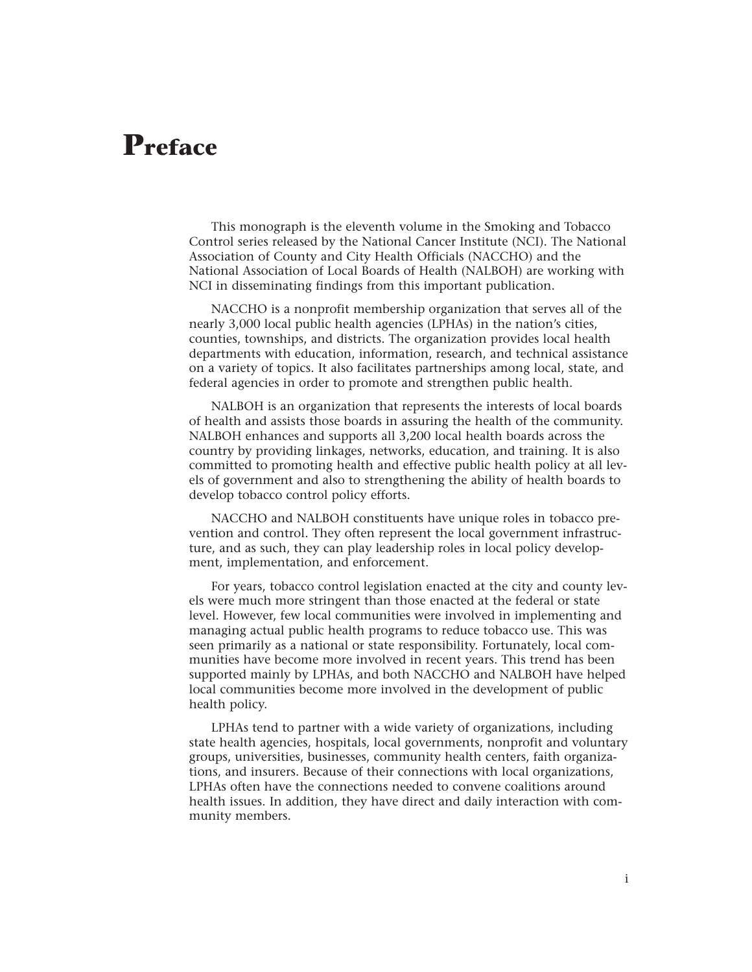## **Preface**

This monograph is the eleventh volume in the Smoking and Tobacco Control series released by the National Cancer Institute (NCI). The National Association of County and City Health Officials (NACCHO) and the National Association of Local Boards of Health (NALBOH) are working with NCI in disseminating findings from this important publication.

NACCHO is a nonprofit membership organization that serves all of the nearly 3,000 local public health agencies (LPHAs) in the nation's cities, counties, townships, and districts. The organization provides local health departments with education, information, research, and technical assistance on a variety of topics. It also facilitates partnerships among local, state, and federal agencies in order to promote and strengthen public health.

NALBOH is an organization that represents the interests of local boards of health and assists those boards in assuring the health of the community. NALBOH enhances and supports all 3,200 local health boards across the country by providing linkages, networks, education, and training. It is also committed to promoting health and effective public health policy at all levels of government and also to strengthening the ability of health boards to develop tobacco control policy efforts.

NACCHO and NALBOH constituents have unique roles in tobacco prevention and control. They often represent the local government infrastructure, and as such, they can play leadership roles in local policy development, implementation, and enforcement.

For years, tobacco control legislation enacted at the city and county levels were much more stringent than those enacted at the federal or state level. However, few local communities were involved in implementing and managing actual public health programs to reduce tobacco use. This was seen primarily as a national or state responsibility. Fortunately, local communities have become more involved in recent years. This trend has been supported mainly by LPHAs, and both NACCHO and NALBOH have helped local communities become more involved in the development of public health policy.

LPHAs tend to partner with a wide variety of organizations, including state health agencies, hospitals, local governments, nonprofit and voluntary groups, universities, businesses, community health centers, faith organizations, and insurers. Because of their connections with local organizations, LPHAs often have the connections needed to convene coalitions around health issues. In addition, they have direct and daily interaction with community members.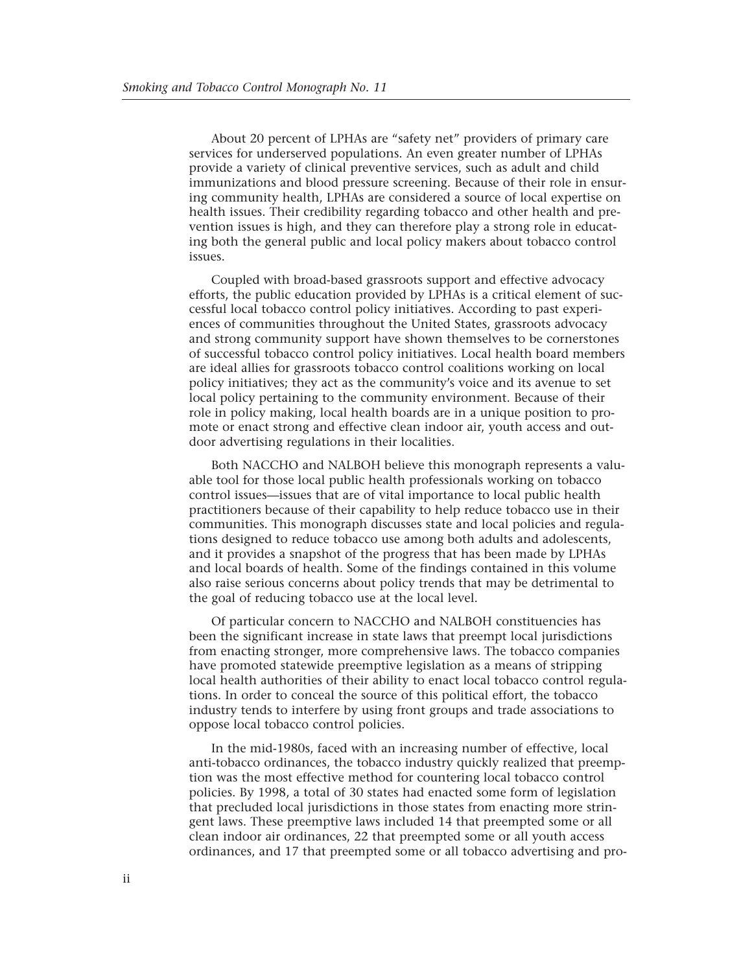About 20 percent of LPHAs are "safety net" providers of primary care services for underserved populations. An even greater number of LPHAs provide a variety of clinical preventive services, such as adult and child immunizations and blood pressure screening. Because of their role in ensuring community health, LPHAs are considered a source of local expertise on health issues. Their credibility regarding tobacco and other health and prevention issues is high, and they can therefore play a strong role in educating both the general public and local policy makers about tobacco control issues.

Coupled with broad-based grassroots support and effective advocacy efforts, the public education provided by LPHAs is a critical element of successful local tobacco control policy initiatives. According to past experiences of communities throughout the United States, grassroots advocacy and strong community support have shown themselves to be cornerstones of successful tobacco control policy initiatives. Local health board members are ideal allies for grassroots tobacco control coalitions working on local policy initiatives; they act as the community's voice and its avenue to set local policy pertaining to the community environment. Because of their role in policy making, local health boards are in a unique position to promote or enact strong and effective clean indoor air, youth access and outdoor advertising regulations in their localities.

Both NACCHO and NALBOH believe this monograph represents a valuable tool for those local public health professionals working on tobacco control issues—issues that are of vital importance to local public health practitioners because of their capability to help reduce tobacco use in their communities. This monograph discusses state and local policies and regulations designed to reduce tobacco use among both adults and adolescents, and it provides a snapshot of the progress that has been made by LPHAs and local boards of health. Some of the findings contained in this volume also raise serious concerns about policy trends that may be detrimental to the goal of reducing tobacco use at the local level.

Of particular concern to NACCHO and NALBOH constituencies has been the significant increase in state laws that preempt local jurisdictions from enacting stronger, more comprehensive laws. The tobacco companies have promoted statewide preemptive legislation as a means of stripping local health authorities of their ability to enact local tobacco control regulations. In order to conceal the source of this political effort, the tobacco industry tends to interfere by using front groups and trade associations to oppose local tobacco control policies.

In the mid-1980s, faced with an increasing number of effective, local anti-tobacco ordinances, the tobacco industry quickly realized that preemption was the most effective method for countering local tobacco control policies. By 1998, a total of 30 states had enacted some form of legislation that precluded local jurisdictions in those states from enacting more stringent laws. These preemptive laws included 14 that preempted some or all clean indoor air ordinances, 22 that preempted some or all youth access ordinances, and 17 that preempted some or all tobacco advertising and pro-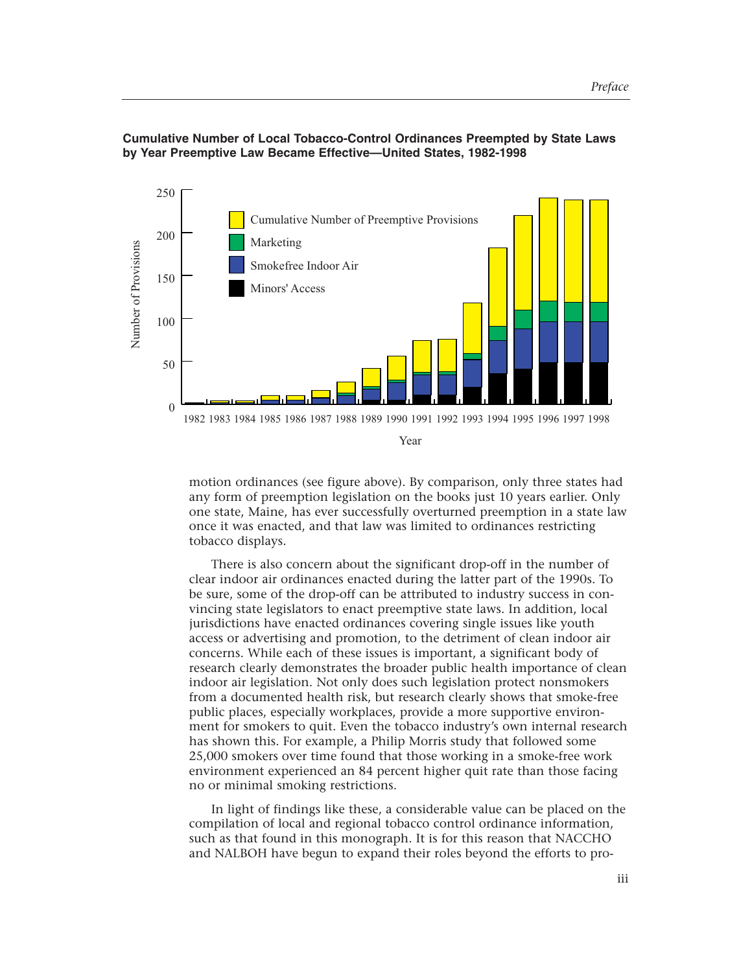

**Cumulative Number of Local Tobacco-Control Ordinances Preempted by State Laws by Year Preemptive Law Became Effective—United States, 1982-1998**

> motion ordinances (see figure above). By comparison, only three states had any form of preemption legislation on the books just 10 years earlier. Only one state, Maine, has ever successfully overturned preemption in a state law once it was enacted, and that law was limited to ordinances restricting tobacco displays.

> There is also concern about the significant drop-off in the number of clear indoor air ordinances enacted during the latter part of the 1990s. To be sure, some of the drop-off can be attributed to industry success in convincing state legislators to enact preemptive state laws. In addition, local jurisdictions have enacted ordinances covering single issues like youth access or advertising and promotion, to the detriment of clean indoor air concerns. While each of these issues is important, a significant body of research clearly demonstrates the broader public health importance of clean indoor air legislation. Not only does such legislation protect nonsmokers from a documented health risk, but research clearly shows that smoke-free public places, especially workplaces, provide a more supportive environment for smokers to quit. Even the tobacco industry's own internal research has shown this. For example, a Philip Morris study that followed some 25,000 smokers over time found that those working in a smoke-free work environment experienced an 84 percent higher quit rate than those facing no or minimal smoking restrictions.

> In light of findings like these, a considerable value can be placed on the compilation of local and regional tobacco control ordinance information, such as that found in this monograph. It is for this reason that NACCHO and NALBOH have begun to expand their roles beyond the efforts to pro